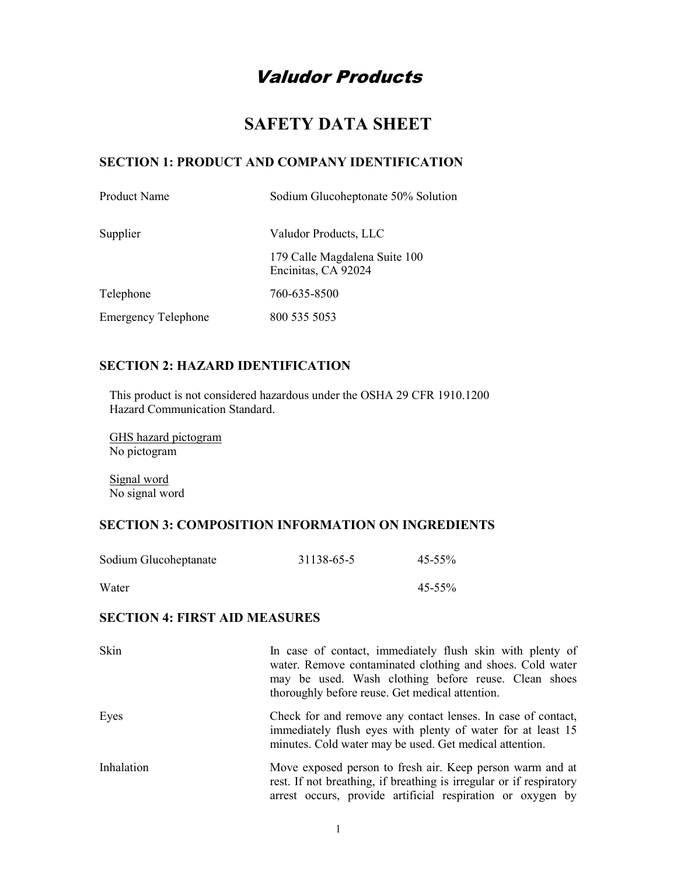# Valudor Products

## SAFETY DATA SHEET

### SECTION 1: PRODUCT AND COMPANY IDENTIFICATION

| Product Name               | Sodium Glucoheptonate 50% Solution                   |
|----------------------------|------------------------------------------------------|
| Supplier                   | Valudor Products, LLC                                |
|                            | 179 Calle Magdalena Suite 100<br>Encinitas, CA 92024 |
| Telephone                  | 760-635-8500                                         |
| <b>Emergency Telephone</b> | 800 535 5053                                         |

### SECTION 2: HAZARD IDENTIFICATION

This product is not considered hazardous under the OSHA 29 CFR 1910.1200 Hazard Communication Standard.

GHS hazard pictogram No pictogram

Signal word No signal word

### SECTION 3: COMPOSITION INFORMATION ON INGREDIENTS

| Sodium Glucoheptanate | 31138-65-5 | $45 - 55\%$ |
|-----------------------|------------|-------------|
| Water                 |            | $45 - 55\%$ |

### SECTION 4: FIRST AID MEASURES

| Skin       | In case of contact, immediately flush skin with plenty of<br>water. Remove contaminated clothing and shoes. Cold water<br>may be used. Wash clothing before reuse. Clean shoes<br>thoroughly before reuse. Get medical attention. |
|------------|-----------------------------------------------------------------------------------------------------------------------------------------------------------------------------------------------------------------------------------|
| Eyes       | Check for and remove any contact lenses. In case of contact,<br>immediately flush eyes with plenty of water for at least 15<br>minutes. Cold water may be used. Get medical attention.                                            |
| Inhalation | Move exposed person to fresh air. Keep person warm and at<br>rest. If not breathing, if breathing is irregular or if respiratory<br>arrest occurs, provide artificial respiration or oxygen by                                    |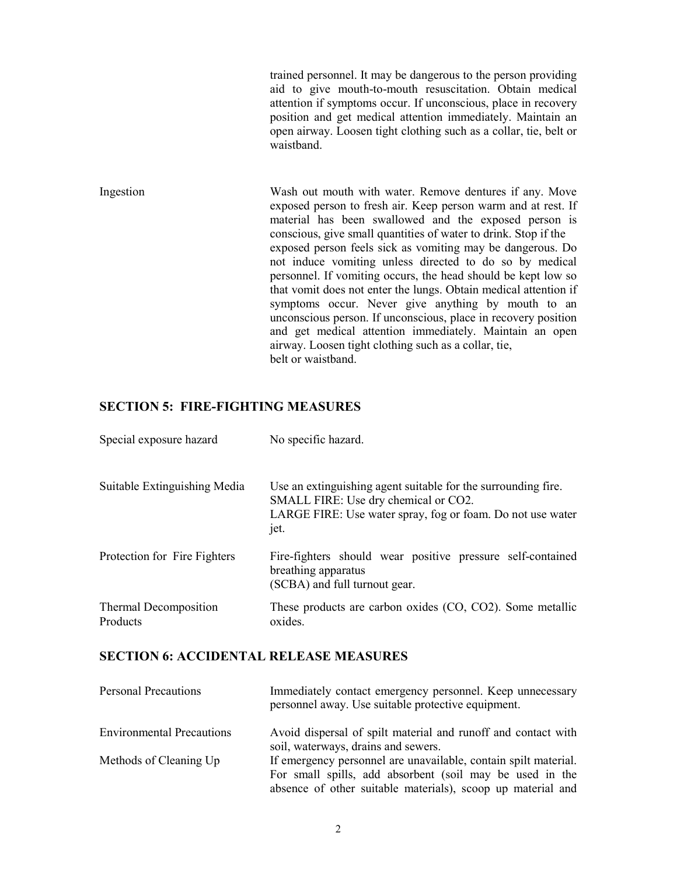trained personnel. It may be dangerous to the person providing aid to give mouth-to-mouth resuscitation. Obtain medical attention if symptoms occur. If unconscious, place in recovery position and get medical attention immediately. Maintain an open airway. Loosen tight clothing such as a collar, tie, belt or waistband.

Ingestion Wash out mouth with water. Remove dentures if any. Move exposed person to fresh air. Keep person warm and at rest. If material has been swallowed and the exposed person is conscious, give small quantities of water to drink. Stop if the exposed person feels sick as vomiting may be dangerous. Do not induce vomiting unless directed to do so by medical personnel. If vomiting occurs, the head should be kept low so that vomit does not enter the lungs. Obtain medical attention if symptoms occur. Never give anything by mouth to an unconscious person. If unconscious, place in recovery position and get medical attention immediately. Maintain an open airway. Loosen tight clothing such as a collar, tie, belt or waistband.

### SECTION 5: FIRE-FIGHTING MEASURES

| Special exposure hazard           | No specific hazard.                                                                                                                                                         |
|-----------------------------------|-----------------------------------------------------------------------------------------------------------------------------------------------------------------------------|
| Suitable Extinguishing Media      | Use an extinguishing agent suitable for the surrounding fire.<br>SMALL FIRE: Use dry chemical or CO2.<br>LARGE FIRE: Use water spray, fog or foam. Do not use water<br>jet. |
| Protection for Fire Fighters      | Fire-fighters should wear positive pressure self-contained<br>breathing apparatus<br>(SCBA) and full turnout gear.                                                          |
| Thermal Decomposition<br>Products | These products are carbon oxides (CO, CO2). Some metallic<br>oxides.                                                                                                        |

#### SECTION 6: ACCIDENTAL RELEASE MEASURES

| <b>Personal Precautions</b>      | Immediately contact emergency personnel. Keep unnecessary<br>personnel away. Use suitable protective equipment.                                                                            |
|----------------------------------|--------------------------------------------------------------------------------------------------------------------------------------------------------------------------------------------|
| <b>Environmental Precautions</b> | Avoid dispersal of spilt material and runoff and contact with<br>soil, waterways, drains and sewers.                                                                                       |
| Methods of Cleaning Up           | If emergency personnel are unavailable, contain spilt material.<br>For small spills, add absorbent (soil may be used in the<br>absence of other suitable materials), scoop up material and |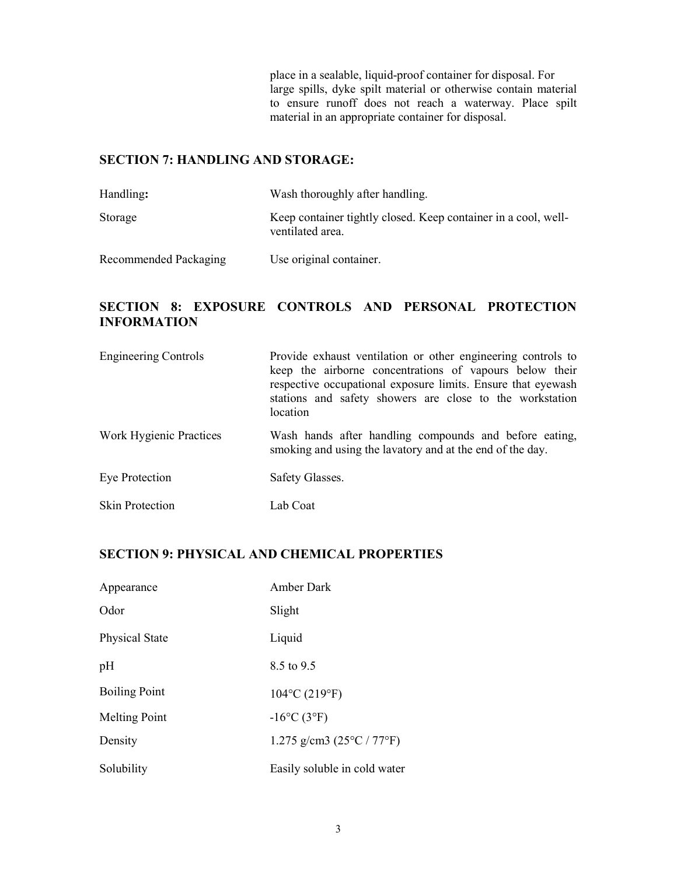place in a sealable, liquid-proof container for disposal. For large spills, dyke spilt material or otherwise contain material to ensure runoff does not reach a waterway. Place spilt material in an appropriate container for disposal.

### SECTION 7: HANDLING AND STORAGE:

| Handling:             | Wash thoroughly after handling.                                                    |
|-----------------------|------------------------------------------------------------------------------------|
| Storage               | Keep container tightly closed. Keep container in a cool, well-<br>ventilated area. |
| Recommended Packaging | Use original container.                                                            |

### SECTION 8: EXPOSURE CONTROLS AND PERSONAL PROTECTION INFORMATION

| <b>Engineering Controls</b> | Provide exhaust ventilation or other engineering controls to<br>keep the airborne concentrations of vapours below their<br>respective occupational exposure limits. Ensure that eyewash<br>stations and safety showers are close to the workstation<br>location |
|-----------------------------|-----------------------------------------------------------------------------------------------------------------------------------------------------------------------------------------------------------------------------------------------------------------|
| Work Hygienic Practices     | Wash hands after handling compounds and before eating,<br>smoking and using the lavatory and at the end of the day.                                                                                                                                             |
| Eye Protection              | Safety Glasses.                                                                                                                                                                                                                                                 |
| <b>Skin Protection</b>      | Lab Coat                                                                                                                                                                                                                                                        |

### SECTION 9: PHYSICAL AND CHEMICAL PROPERTIES

| Appearance            | Amber Dark                                |
|-----------------------|-------------------------------------------|
| Odor                  | Slight                                    |
| <b>Physical State</b> | Liquid                                    |
| pH                    | 8.5 to 9.5                                |
| <b>Boiling Point</b>  | $104^{\circ}$ C (219 $^{\circ}$ F)        |
| <b>Melting Point</b>  | $-16^{\circ}C(3^{\circ}F)$                |
| Density               | 1.275 g/cm3 $(25^{\circ}C / 77^{\circ}F)$ |
| Solubility            | Easily soluble in cold water              |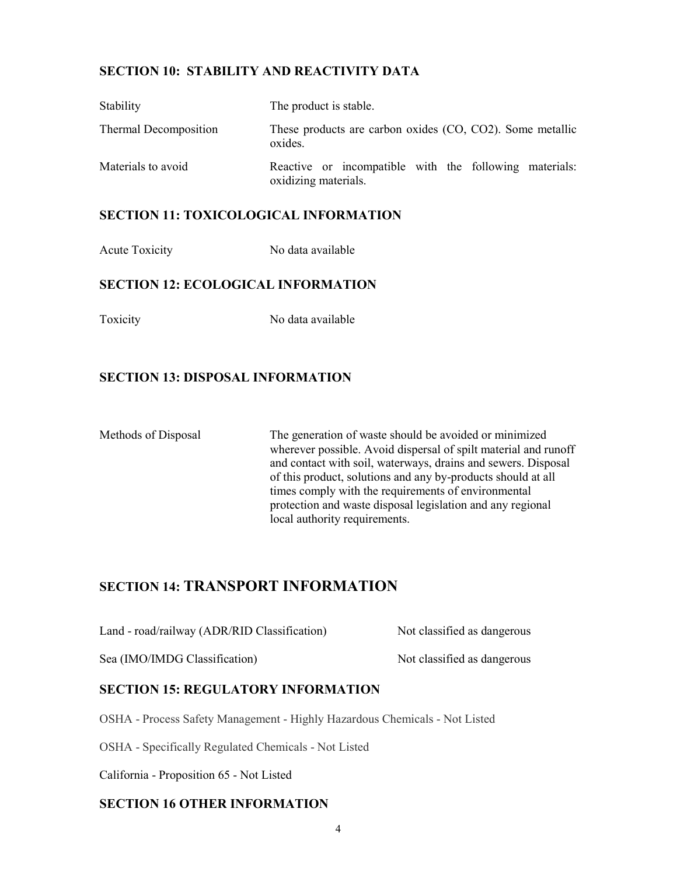### SECTION 10: STABILITY AND REACTIVITY DATA

| Stability             | The product is stable.                                                         |
|-----------------------|--------------------------------------------------------------------------------|
| Thermal Decomposition | These products are carbon oxides (CO, CO2). Some metallic<br>oxides.           |
| Materials to avoid    | Reactive or incompatible with the following materials:<br>oxidizing materials. |

#### SECTION 11: TOXICOLOGICAL INFORMATION

Acute Toxicity No data available

#### SECTION 12: ECOLOGICAL INFORMATION

Toxicity No data available

### SECTION 13: DISPOSAL INFORMATION

Methods of Disposal The generation of waste should be avoided or minimized wherever possible. Avoid dispersal of spilt material and runoff and contact with soil, waterways, drains and sewers. Disposal of this product, solutions and any by-products should at all times comply with the requirements of environmental protection and waste disposal legislation and any regional local authority requirements.

### SECTION 14: TRANSPORT INFORMATION

| Land - road/railway (ADR/RID Classification) | Not classified as dangerous |
|----------------------------------------------|-----------------------------|
| Sea (IMO/IMDG Classification)                | Not classified as dangerous |

### SECTION 15: REGULATORY INFORMATION

OSHA - Process Safety Management - Highly Hazardous Chemicals - Not Listed

OSHA - Specifically Regulated Chemicals - Not Listed

California - Proposition 65 - Not Listed

### SECTION 16 OTHER INFORMATION